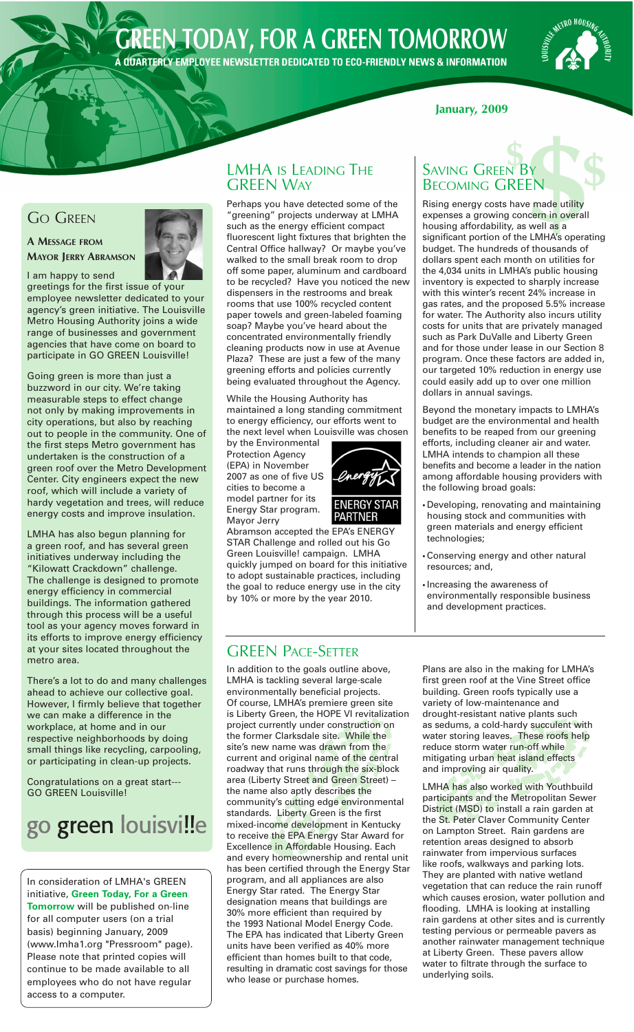# **GREEN TODAY, FOR A GREEN TOMORROW**

A QUARTERLY EMPLOYEE NEWSLETTER DEDICATED TO ECO-FRIENDLY NEWS & INFORMATION

# **METRO HOUSIA**

#### **January, 2009**

### **GO GREEN**

**A MESSAGE FROM MAYOR JERRY ABRAMSON**



I am happy to send greetings for the first issue of your employee newsletter dedicated to your agency's green initiative. The Louisville Metro Housing Authority joins a wide range of businesses and government agencies that have come on board to participate in GO GREEN Louisville!

Going green is more than just a buzzword in our city. We're taking measurable steps to effect change not only by making improvements in city operations, but also by reaching out to people in the community. One of the first steps Metro government has undertaken is the construction of a green roof over the Metro Development Center. City engineers expect the new roof, which will include a variety of hardy vegetation and trees, will reduce energy costs and improve insulation.

LMHA has also begun planning for a green roof, and has several green initiatives underway including the "Kilowatt Crackdown" challenge. The challenge is designed to promote energy efficiency in commercial buildings. The information gathered through this process will be a useful tool as your agency moves forward in its efforts to improve energy efficiency at your sites located throughout the metro area.

There's a lot to do and many challenges ahead to achieve our collective goal. However, I firmly believe that together we can make a difference in the workplace, at home and in our respective neighborhoods by doing small things like recycling, carpooling, or participating in clean-up projects.

Congratulations on a great start--- GO GREEN Louisville!

# go green louisville

In consideration of LMHA's GREEN initiative, **Green Today, For a Green Tomorrow** will be published on-line for all computer users (on a trial basis) beginning January, 2009 (www.lmha1.org "Pressroom" page). Please note that printed copies will continue to be made available to all employees who do not have regular access to a computer.

# **GREEN WAY**

**EMHA IS LEADING THE**<br> **SAVING GREEN BY**<br> **SAVING GREEN BY**<br> **SECOMING GREEN**<br>
Perhaps you have detected some of the<br>
"greening" projects underway at LMHA<br>
such as the energy efficient compact<br>
such as the energy efficient Perhaps you have detected some of the "greening" projects underway at LMHA such as the energy efficient compact fluorescent light fixtures that brighten the Central Office hallway? Or maybe you've walked to the small break room to drop off some paper, aluminum and cardboard to be recycled? Have you noticed the new dispensers in the restrooms and break rooms that use 100% recycled content paper towels and green-labeled foaming soap? Maybe you've heard about the concentrated environmentally friendly cleaning products now in use at Avenue Plaza? These are just a few of the many greening efforts and policies currently being evaluated throughout the Agency.

While the Housing Authority has maintained a long standing commitment to energy efficiency, our efforts went to the next level when Louisville was chosen

by the Environmental Protection Agency (EPA) in November 2007 as one of five US cities to become a model partner for its Energy Star program. Mayor Jerry



Abramson accepted the EPA's ENERGY STAR Challenge and rolled out his Go Green Louisville! campaign. LMHA quickly jumped on board for this initiative to adopt sustainable practices, including the goal to reduce energy use in the city by 10% or more by the year 2010.

### GREEN PACE-SETTER

In addition to the goals outline above, LMHA is tackling several large-scale environmentally beneficial projects. Of course, LMHA's premiere green site is Liberty Green, the HOPE VI revitalization project currently under construction on the former Clarksdale site. While the site's new name was drawn from the current and original name of the central roadway that runs through the six-block area (Liberty Street and Green Street) – the name also aptly describes the community's cutting edge environmental standards. Liberty Green is the first mixed-income development in Kentucky to receive the EPA Energy Star Award for Excellence in Affordable Housing. Each and every homeownership and rental unit has been certified through the Energy Star program, and all appliances are also Energy Star rated. The Energy Star designation means that buildings are 30% more efficient than required by the 1993 National Model Energy Code. The EPA has indicated that Liberty Green units have been verified as 40% more efficient than homes built to that code, resulting in dramatic cost savings for those who lease or purchase homes.

# **SAVING GREEN BY** BECOMING GREEN

Rising energy costs have made utility expenses a growing concern in overall housing affordability, as well as a significant portion of the LMHA's operating budget. The hundreds of thousands of dollars spent each month on utilities for the 4,034 units in LMHA's public housing inventory is expected to sharply increase with this winter's recent 24% increase in gas rates, and the proposed 5.5% increase for water. The Authority also incurs utility costs for units that are privately managed such as Park DuValle and Liberty Green and for those under lease in our Section 8 program. Once these factors are added in, our targeted 10% reduction in energy use could easily add up to over one million dollars in annual savings.

Beyond the monetary impacts to LMHA's budget are the environmental and health benefits to be reaped from our greening efforts, including cleaner air and water. LMHA intends to champion all these benefits and become a leader in the nation among affordable housing providers with the following broad goals:

- *•* Developing, renovating and maintaining housing stock and communities with green materials and energy efficient technologies;
- *•* Conserving energy and other natural resources; and,
- *•* Increasing the awareness of environmentally responsible business and development practices.

Plans are also in the making for LMHA's first green roof at the Vine Street office building. Green roofs typically use a variety of low-maintenance and drought-resistant native plants such as sedums, a cold-hardy succulent with water storing leaves. These roofs help reduce storm water run-off while mitigating urban heat island effects and improving air quality.

LMHA has also worked with Youthbuild participants and the Metropolitan Sewer District (MSD) to install a rain garden at the St. Peter Claver Community Center on Lampton Street. Rain gardens are retention areas designed to absorb rainwater from impervious surfaces like roofs, walkways and parking lots. They are planted with native wetland vegetation that can reduce the rain runoff which causes erosion, water pollution and flooding. LMHA is looking at installing rain gardens at other sites and is currently testing pervious or permeable pavers as another rainwater management technique at Liberty Green. These pavers allow water to filtrate through the surface to underlying soils.